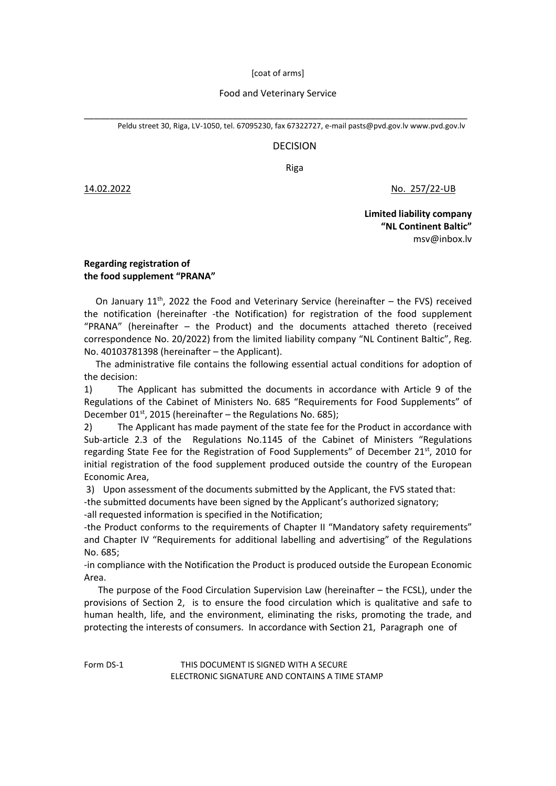[coat of arms]

## Food and Veterinary Service

\_\_\_\_\_\_\_\_\_\_\_\_\_\_\_\_\_\_\_\_\_\_\_\_\_\_\_\_\_\_\_\_\_\_\_\_\_\_\_\_\_\_\_\_\_\_\_\_\_\_\_\_\_\_\_\_\_\_\_\_\_\_\_\_\_\_\_\_\_\_\_\_\_\_\_ Peldu street 30, Riga, LV-1050, tel. 67095230, fax 67322727, e-mai[l pasts@pvd.gov.](mailto:pasts@pvd.gov)l[v www.pvd.gov.lv](http://www.pvd.gov.lv/)

## DECISION

Riga

14.02.2022 No. 257/22-UB

**Limited liability company "NL Continent Baltic"** [msv@inbox.lv](mailto:msv@inbox.lv)

## **Regarding registration of the food supplement "PRANA"**

On January  $11<sup>th</sup>$ , 2022 the Food and Veterinary Service (hereinafter – the FVS) received the notification (hereinafter -the Notification) for registration of the food supplement "PRANA" (hereinafter – the Product) and the documents attached thereto (received correspondence No. 20/2022) from the limited liability company "NL Continent Baltic", Reg. No. 40103781398 (hereinafter – the Applicant).

 The administrative file contains the following essential actual conditions for adoption of the decision:

1) The Applicant has submitted the documents in accordance with Article 9 of the Regulations of the Cabinet of Ministers No. 685 "Requirements for Food Supplements" of December 01st, 2015 (hereinafter – the Regulations No. 685);

2) The Applicant has made payment of the state fee for the Product in accordance with Sub-article 2.3 of the Regulations No.1145 of the Cabinet of Ministers "Regulations regarding State Fee for the Registration of Food Supplements" of December 21st, 2010 for initial registration of the food supplement produced outside the country of the European Economic Area,

3) Upon assessment of the documents submitted by the Applicant, the FVS stated that:

-the submitted documents have been signed by the Applicant's authorized signatory;

-all requested information is specified in the Notification;

-the Product conforms to the requirements of Chapter II "Mandatory safety requirements" and Chapter IV "Requirements for additional labelling and advertising" of the Regulations No. 685;

-in compliance with the Notification the Product is produced outside the European Economic Area.

 The purpose of the Food Circulation Supervision Law (hereinafter – the FCSL), under the provisions of Section 2, is to ensure the food circulation which is qualitative and safe to human health, life, and the environment, eliminating the risks, promoting the trade, and protecting the interests of consumers. In accordance with Section 21, Paragraph one of

Form DS-1 THIS DOCUMENT IS SIGNED WITH A SECURE ELECTRONIC SIGNATURE AND CONTAINS A TIME STAMP